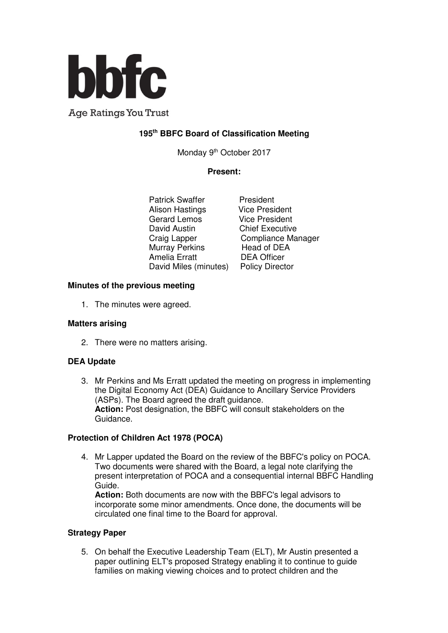

**Age Ratings You Trust** 

# **195th BBFC Board of Classification Meeting**

Monday 9<sup>th</sup> October 2017

## **Present:**

Patrick Swaffer President<br>Alison Hastings Vice President Alison Hastings Vice President<br>Gerard Lemos Vice President Gerard Lemos<br>David Austin Murray Perkins Head of DEA Amelia Erratt DEA Officer David Miles (minutes) Policy Director

**Chief Executive** Craig Lapper Compliance Manager

### **Minutes of the previous meeting**

1. The minutes were agreed.

### **Matters arising**

2. There were no matters arising.

### **DEA Update**

3. Mr Perkins and Ms Erratt updated the meeting on progress in implementing the Digital Economy Act (DEA) Guidance to Ancillary Service Providers (ASPs). The Board agreed the draft guidance. **Action:** Post designation, the BBFC will consult stakeholders on the Guidance.

### **Protection of Children Act 1978 (POCA)**

4. Mr Lapper updated the Board on the review of the BBFC's policy on POCA. Two documents were shared with the Board, a legal note clarifying the present interpretation of POCA and a consequential internal BBFC Handling Guide.

**Action:** Both documents are now with the BBFC's legal advisors to incorporate some minor amendments. Once done, the documents will be circulated one final time to the Board for approval.

#### **Strategy Paper**

5. On behalf the Executive Leadership Team (ELT), Mr Austin presented a paper outlining ELT's proposed Strategy enabling it to continue to guide families on making viewing choices and to protect children and the